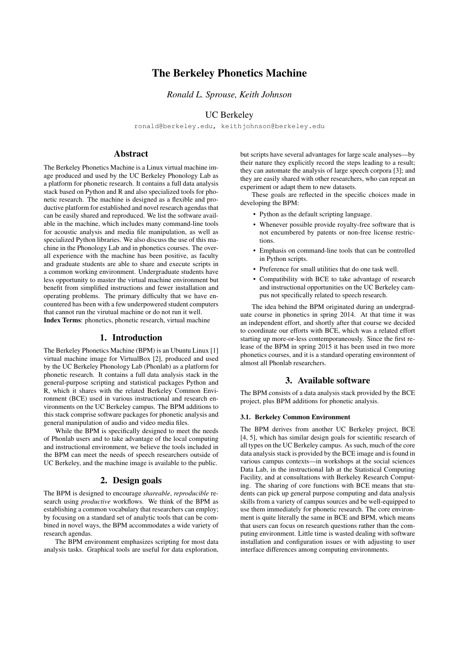# The Berkeley Phonetics Machine

*Ronald L. Sprouse, Keith Johnson*

## UC Berkeley

ronald@berkeley.edu, keithjohnson@berkeley.edu

## Abstract

The Berkeley Phonetics Machine is a Linux virtual machine image produced and used by the UC Berkeley Phonology Lab as a platform for phonetic research. It contains a full data analysis stack based on Python and R and also specialized tools for phonetic research. The machine is designed as a flexible and productive platform for established and novel research agendas that can be easily shared and reproduced. We list the software available in the machine, which includes many command-line tools for acoustic analysis and media file manipulation, as well as specialized Python libraries. We also discuss the use of this machine in the Phonology Lab and in phonetics courses. The overall experience with the machine has been positive, as faculty and graduate students are able to share and execute scripts in a common working environment. Undergraduate students have less opportunity to master the virtual machine environment but benefit from simplified instructions and fewer installation and operating problems. The primary difficulty that we have encountered has been with a few underpowered student computers that cannot run the virutual machine or do not run it well. Index Terms: phonetics, phonetic research, virtual machine

## 1. Introduction

The Berkeley Phonetics Machine (BPM) is an Ubuntu Linux [1] virtual machine image for VirtualBox [2], produced and used by the UC Berkeley Phonology Lab (Phonlab) as a platform for phonetic research. It contains a full data analysis stack in the general-purpose scripting and statistical packages Python and R, which it shares with the related Berkeley Common Environment (BCE) used in various instructional and research environments on the UC Berkeley campus. The BPM additions to this stack comprise software packages for phonetic analysis and general manipulation of audio and video media files.

While the BPM is specifically designed to meet the needs of Phonlab users and to take advantage of the local computing and instructional environment, we believe the tools included in the BPM can meet the needs of speech researchers outside of UC Berkeley, and the machine image is available to the public.

## 2. Design goals

The BPM is designed to encourage *shareable*, *reproducible* research using *productive* workflows. We think of the BPM as establishing a common vocabulary that researchers can employ; by focusing on a standard set of analytic tools that can be combined in novel ways, the BPM accommodates a wide variety of research agendas.

The BPM environment emphasizes scripting for most data analysis tasks. Graphical tools are useful for data exploration,

but scripts have several advantages for large scale analyses—by their nature they explicitly record the steps leading to a result; they can automate the analysis of large speech corpora [3]; and they are easily shared with other researchers, who can repeat an experiment or adapt them to new datasets.

These goals are reflected in the specific choices made in developing the BPM:

- Python as the default scripting language.
- Whenever possible provide royalty-free software that is not encumbered by patents or non-free license restrictions.
- Emphasis on command-line tools that can be controlled in Python scripts.
- Preference for small utilities that do one task well.
- Compatibility with BCE to take advantage of research and instructional opportunities on the UC Berkeley campus not specifically related to speech research.

The idea behind the BPM originated during an undergraduate course in phonetics in spring 2014. At that time it was an independent effort, and shortly after that course we decided to coordinate our efforts with BCE, which was a related effort starting up more-or-less contemporaneously. Since the first release of the BPM in spring 2015 it has been used in two more phonetics courses, and it is a standard operating environment of almost all Phonlab researchers.

#### 3. Available software

The BPM consists of a data analysis stack provided by the BCE project, plus BPM additions for phonetic analysis.

## 3.1. Berkeley Common Environment

The BPM derives from another UC Berkeley project, BCE [4, 5], which has similar design goals for scientific research of all types on the UC Berkeley campus. As such, much of the core data analysis stack is provided by the BCE image and is found in various campus contexts—in workshops at the social sciences Data Lab, in the instructional lab at the Statistical Computing Facility, and at consultations with Berkeley Research Computing. The sharing of core functions with BCE means that students can pick up general purpose computing and data analysis skills from a variety of campus sources and be well-equipped to use them immediately for phonetic research. The core environment is quite literally the same in BCE and BPM, which means that users can focus on research questions rather than the computing environment. Little time is wasted dealing with software installation and configuration issues or with adjusting to user interface differences among computing environments.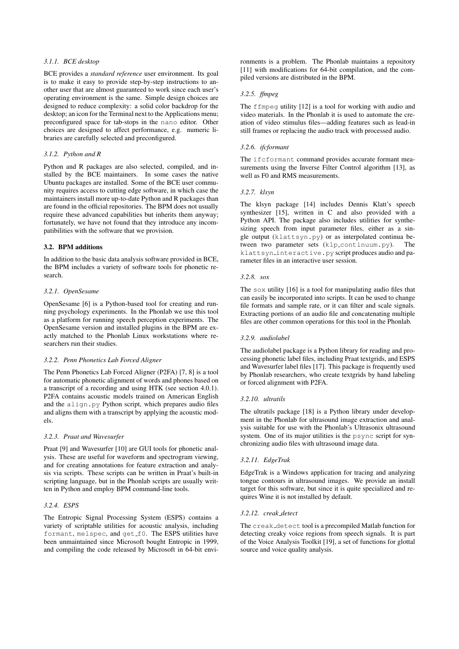### *3.1.1. BCE desktop*

BCE provides a *standard reference* user environment. Its goal is to make it easy to provide step-by-step instructions to another user that are almost guaranteed to work since each user's operating environment is the same. Simple design choices are designed to reduce complexity: a solid color backdrop for the desktop; an icon for the Terminal next to the Applications menu; preconfigured space for tab-stops in the nano editor. Other choices are designed to affect performance, e.g. numeric libraries are carefully selected and preconfigured.

#### *3.1.2. Python and R*

Python and R packages are also selected, compiled, and installed by the BCE maintainers. In some cases the native Ubuntu packages are installed. Some of the BCE user community requires access to cutting edge software, in which case the maintainers install more up-to-date Python and R packages than are found in the official repositories. The BPM does not usually require these advanced capabilities but inherits them anyway; fortunately, we have not found that they introduce any incompatibilities with the software that we provision.

#### 3.2. BPM additions

In addition to the basic data analysis software provided in BCE, the BPM includes a variety of software tools for phonetic research.

#### *3.2.1. OpenSesame*

OpenSesame [6] is a Python-based tool for creating and running psychology experiments. In the Phonlab we use this tool as a platform for running speech perception experiments. The OpenSesame version and installed plugins in the BPM are exactly matched to the Phonlab Linux workstations where researchers run their studies.

#### *3.2.2. Penn Phonetics Lab Forced Aligner*

The Penn Phonetics Lab Forced Aligner (P2FA) [7, 8] is a tool for automatic phonetic alignment of words and phones based on a transcript of a recording and using HTK (see section 4.0.1). P2FA contains acoustic models trained on American English and the align.py Python script, which prepares audio files and aligns them with a transcript by applying the acoustic models.

#### *3.2.3. Praat and Wavesurfer*

Praat [9] and Wavesurfer [10] are GUI tools for phonetic analysis. These are useful for waveform and spectrogram viewing, and for creating annotations for feature extraction and analysis via scripts. These scripts can be written in Praat's built-in scripting language, but in the Phonlab scripts are usually written in Python and employ BPM command-line tools.

### *3.2.4. ESPS*

The Entropic Signal Processing System (ESPS) contains a variety of scriptable utilities for acoustic analysis, including formant, melspec, and get f0. The ESPS utilities have been unmaintained since Microsoft bought Entropic in 1999, and compiling the code released by Microsoft in 64-bit environments is a problem. The Phonlab maintains a repository [11] with modifications for 64-bit compilation, and the compiled versions are distributed in the BPM.

#### *3.2.5. ffmpeg*

The ffmpeg utility [12] is a tool for working with audio and video materials. In the Phonlab it is used to automate the creation of video stimulus files—adding features such as lead-in still frames or replacing the audio track with processed audio.

### *3.2.6. ifcformant*

The ifcformant command provides accurate formant measurements using the Inverse Filter Control algorithm [13], as well as F0 and RMS measurements.

#### *3.2.7. klsyn*

The klsyn package [14] includes Dennis Klatt's speech synthesizer [15], written in C and also provided with a Python API. The package also includes utilities for synthesizing speech from input parameter files, either as a single output (klattsyn.py) or as interpolated continua between two parameter sets (klp\_continuum.py). The klattsyn interactive.py script produces audio and parameter files in an interactive user session.

#### *3.2.8. sox*

The sox utility [16] is a tool for manipulating audio files that can easily be incorporated into scripts. It can be used to change file formats and sample rate, or it can filter and scale signals. Extracting portions of an audio file and concatenating multiple files are other common operations for this tool in the Phonlab.

#### *3.2.9. audiolabel*

The audiolabel package is a Python library for reading and processing phonetic label files, including Praat textgrids, and ESPS and Wavesurfer label files [17]. This package is frequently used by Phonlab researchers, who create textgrids by hand labeling or forced alignment with P2FA.

#### *3.2.10. ultratils*

The ultratils package [18] is a Python library under development in the Phonlab for ultrasound image extraction and analysis suitable for use with the Phonlab's Ultrasonix ultrasound system. One of its major utilities is the psync script for synchronizing audio files with ultrasound image data.

#### *3.2.11. EdgeTrak*

EdgeTrak is a Windows application for tracing and analyzing tongue contours in ultrasound images. We provide an install target for this software, but since it is quite specialized and requires Wine it is not installed by default.

#### *3.2.12. creak detect*

The creak detect tool is a precompiled Matlab function for detecting creaky voice regions from speech signals. It is part of the Voice Analysis Toolkit [19], a set of functions for glottal source and voice quality analysis.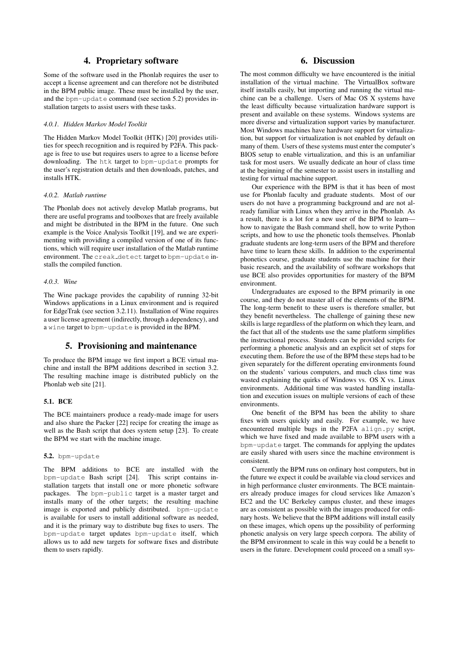## 4. Proprietary software

Some of the software used in the Phonlab requires the user to accept a license agreement and can therefore not be distributed in the BPM public image. These must be installed by the user, and the bpm-update command (see section 5.2) provides installation targets to assist users with these tasks.

#### *4.0.1. Hidden Markov Model Toolkit*

The Hidden Markov Model Toolkit (HTK) [20] provides utilities for speech recognition and is required by P2FA. This package is free to use but requires users to agree to a license before downloading. The htk target to bpm-update prompts for the user's registration details and then downloads, patches, and installs HTK.

#### *4.0.2. Matlab runtime*

The Phonlab does not actively develop Matlab programs, but there are useful programs and toolboxes that are freely available and might be distributed in the BPM in the future. One such example is the Voice Analysis Toolkit [19], and we are experimenting with providing a compiled version of one of its functions, which will require user installation of the Matlab runtime environment. The creak detect target to bpm-update installs the compiled function.

#### *4.0.3. Wine*

The Wine package provides the capability of running 32-bit Windows applications in a Linux environment and is required for EdgeTrak (see section 3.2.11). Installation of Wine requires a user license agreement (indirectly, through a dependency), and a wine target to bpm-update is provided in the BPM.

## 5. Provisioning and maintenance

To produce the BPM image we first import a BCE virtual machine and install the BPM additions described in section 3.2. The resulting machine image is distributed publicly on the Phonlab web site [21].

## 5.1. BCE

The BCE maintainers produce a ready-made image for users and also share the Packer [22] recipe for creating the image as well as the Bash script that does system setup [23]. To create the BPM we start with the machine image.

#### 5.2. bpm-update

The BPM additions to BCE are installed with the bpm-update Bash script [24]. This script contains installation targets that install one or more phonetic software packages. The bpm-public target is a master target and installs many of the other targets; the resulting machine image is exported and publicly distributed. bpm-update is available for users to install additional software as needed, and it is the primary way to distribute bug fixes to users. The bpm-update target updates bpm-update itself, which allows us to add new targets for software fixes and distribute them to users rapidly.

## 6. Discussion

The most common difficulty we have encountered is the initial installation of the virtual machine. The VirtualBox software itself installs easily, but importing and running the virtual machine can be a challenge. Users of Mac OS X systems have the least difficulty because virtualization hardware support is present and available on these systems. Windows systems are more diverse and virtualization support varies by manufacturer. Most Windows machines have hardware support for virtualization, but support for virtualization is not enabled by default on many of them. Users of these systems must enter the computer's BIOS setup to enable virtualization, and this is an unfamiliar task for most users. We usually dedicate an hour of class time at the beginning of the semester to assist users in installing and testing for virtual machine support.

Our experience with the BPM is that it has been of most use for Phonlab faculty and graduate students. Most of our users do not have a programming background and are not already familiar with Linux when they arrive in the Phonlab. As a result, there is a lot for a new user of the BPM to learn how to navigate the Bash command shell, how to write Python scripts, and how to use the phonetic tools themselves. Phonlab graduate students are long-term users of the BPM and therefore have time to learn these skills. In addition to the experimental phonetics course, graduate students use the machine for their basic research, and the availability of software workshops that use BCE also provides opportunities for mastery of the BPM environment.

Undergraduates are exposed to the BPM primarily in one course, and they do not master all of the elements of the BPM. The long-term benefit to these users is therefore smaller, but they benefit nevertheless. The challenge of gaining these new skills is large regardless of the platform on which they learn, and the fact that all of the students use the same platform simplifies the instructional process. Students can be provided scripts for performing a phonetic analysis and an explicit set of steps for executing them. Before the use of the BPM these steps had to be given separately for the different operating environments found on the students' various computers, and much class time was wasted explaining the quirks of Windows vs. OS X vs. Linux environments. Additional time was wasted handling installation and execution issues on multiple versions of each of these environments.

One benefit of the BPM has been the ability to share fixes with users quickly and easily. For example, we have encountered multiple bugs in the P2FA align.py script, which we have fixed and made available to BPM users with a bpm-update target. The commands for applying the updates are easily shared with users since the machine environment is consistent.

Currently the BPM runs on ordinary host computers, but in the future we expect it could be available via cloud services and in high performance cluster environments. The BCE maintainers already produce images for cloud services like Amazon's EC2 and the UC Berkeley campus cluster, and these images are as consistent as possible with the images produced for ordinary hosts. We believe that the BPM additions will install easily on these images, which opens up the possibility of performing phonetic analysis on very large speech corpora. The ability of the BPM environment to scale in this way could be a benefit to users in the future. Development could proceed on a small sys